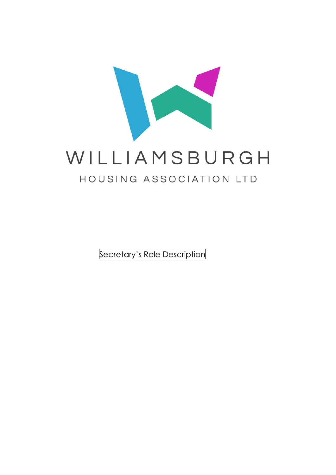

Secretary's Role Description